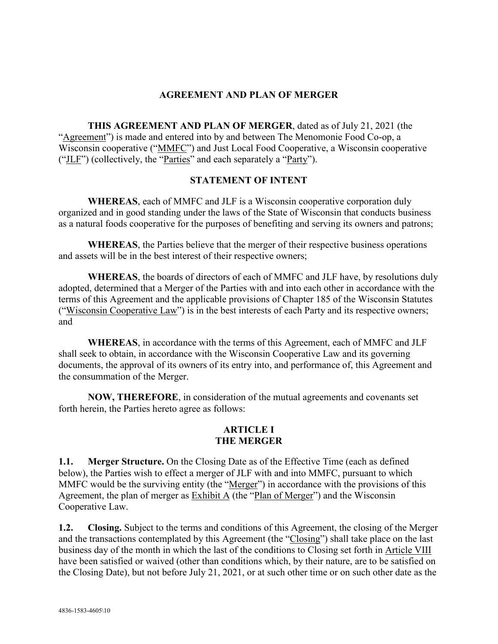#### **AGREEMENT AND PLAN OF MERGER**

**THIS AGREEMENT AND PLAN OF MERGER**, dated as of July 21, 2021 (the "Agreement") is made and entered into by and between The Menomonie Food Co-op, a Wisconsin cooperative ("MMFC") and Just Local Food Cooperative, a Wisconsin cooperative ("JLF") (collectively, the "Parties" and each separately a "Party").

#### **STATEMENT OF INTENT**

**WHEREAS**, each of MMFC and JLF is a Wisconsin cooperative corporation duly organized and in good standing under the laws of the State of Wisconsin that conducts business as a natural foods cooperative for the purposes of benefiting and serving its owners and patrons;

**WHEREAS**, the Parties believe that the merger of their respective business operations and assets will be in the best interest of their respective owners;

**WHEREAS**, the boards of directors of each of MMFC and JLF have, by resolutions duly adopted, determined that a Merger of the Parties with and into each other in accordance with the terms of this Agreement and the applicable provisions of Chapter 185 of the Wisconsin Statutes ("Wisconsin Cooperative Law") is in the best interests of each Party and its respective owners; and

**WHEREAS**, in accordance with the terms of this Agreement, each of MMFC and JLF shall seek to obtain, in accordance with the Wisconsin Cooperative Law and its governing documents, the approval of its owners of its entry into, and performance of, this Agreement and the consummation of the Merger.

**NOW, THEREFORE**, in consideration of the mutual agreements and covenants set forth herein, the Parties hereto agree as follows:

#### **ARTICLE I THE MERGER**

**1.1. Merger Structure.** On the Closing Date as of the Effective Time (each as defined below), the Parties wish to effect a merger of JLF with and into MMFC, pursuant to which MMFC would be the surviving entity (the "Merger") in accordance with the provisions of this Agreement, the plan of merger as Exhibit A (the "Plan of Merger") and the Wisconsin Cooperative Law.

**1.2. Closing.** Subject to the terms and conditions of this Agreement, the closing of the Merger and the transactions contemplated by this Agreement (the "Closing") shall take place on the last business day of the month in which the last of the conditions to Closing set forth in [Article VIII](#page-8-0) have been satisfied or waived (other than conditions which, by their nature, are to be satisfied on the Closing Date), but not before July 21, 2021, or at such other time or on such other date as the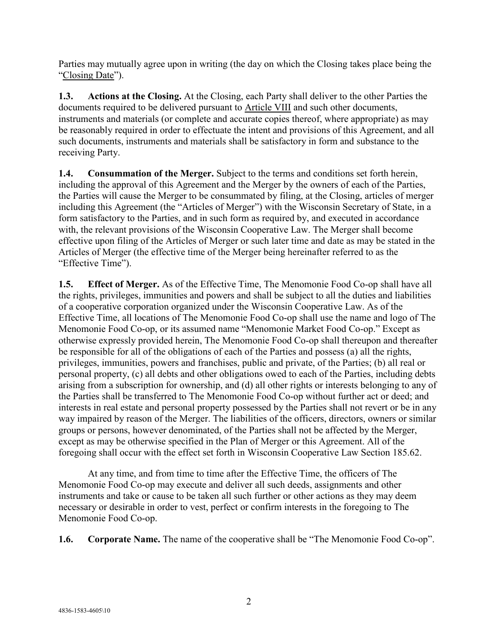Parties may mutually agree upon in writing (the day on which the Closing takes place being the "Closing Date").

**1.3. Actions at the Closing.** At the Closing, each Party shall deliver to the other Parties the documents required to be delivered pursuant to [Article VIII](#page-8-0) and such other documents, instruments and materials (or complete and accurate copies thereof, where appropriate) as may be reasonably required in order to effectuate the intent and provisions of this Agreement, and all such documents, instruments and materials shall be satisfactory in form and substance to the receiving Party.

**1.4. Consummation of the Merger.** Subject to the terms and conditions set forth herein, including the approval of this Agreement and the Merger by the owners of each of the Parties, the Parties will cause the Merger to be consummated by filing, at the Closing, articles of merger including this Agreement (the "Articles of Merger") with the Wisconsin Secretary of State, in a form satisfactory to the Parties, and in such form as required by, and executed in accordance with, the relevant provisions of the Wisconsin Cooperative Law. The Merger shall become effective upon filing of the Articles of Merger or such later time and date as may be stated in the Articles of Merger (the effective time of the Merger being hereinafter referred to as the "Effective Time").

**1.5. Effect of Merger.** As of the Effective Time, The Menomonie Food Co-op shall have all the rights, privileges, immunities and powers and shall be subject to all the duties and liabilities of a cooperative corporation organized under the Wisconsin Cooperative Law. As of the Effective Time, all locations of The Menomonie Food Co-op shall use the name and logo of The Menomonie Food Co-op, or its assumed name "Menomonie Market Food Co-op." Except as otherwise expressly provided herein, The Menomonie Food Co-op shall thereupon and thereafter be responsible for all of the obligations of each of the Parties and possess (a) all the rights, privileges, immunities, powers and franchises, public and private, of the Parties; (b) all real or personal property, (c) all debts and other obligations owed to each of the Parties, including debts arising from a subscription for ownership, and (d) all other rights or interests belonging to any of the Parties shall be transferred to The Menomonie Food Co-op without further act or deed; and interests in real estate and personal property possessed by the Parties shall not revert or be in any way impaired by reason of the Merger. The liabilities of the officers, directors, owners or similar groups or persons, however denominated, of the Parties shall not be affected by the Merger, except as may be otherwise specified in the Plan of Merger or this Agreement. All of the foregoing shall occur with the effect set forth in Wisconsin Cooperative Law Section 185.62.

At any time, and from time to time after the Effective Time, the officers of The Menomonie Food Co-op may execute and deliver all such deeds, assignments and other instruments and take or cause to be taken all such further or other actions as they may deem necessary or desirable in order to vest, perfect or confirm interests in the foregoing to The Menomonie Food Co-op.

**1.6. Corporate Name.** The name of the cooperative shall be "The Menomonie Food Co-op".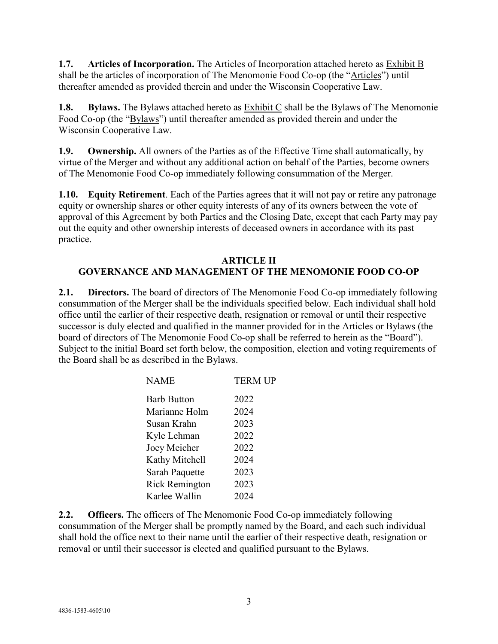**1.7. Articles of Incorporation.** The Articles of Incorporation attached hereto as Exhibit B shall be the articles of incorporation of The Menomonie Food Co-op (the "Articles") until thereafter amended as provided therein and under the Wisconsin Cooperative Law.

**1.8. Bylaws.** The Bylaws attached hereto as Exhibit C shall be the Bylaws of The Menomonie Food Co-op (the "Bylaws") until thereafter amended as provided therein and under the Wisconsin Cooperative Law.

**1.9. Ownership.** All owners of the Parties as of the Effective Time shall automatically, by virtue of the Merger and without any additional action on behalf of the Parties, become owners of The Menomonie Food Co-op immediately following consummation of the Merger.

**1.10. Equity Retirement**. Each of the Parties agrees that it will not pay or retire any patronage equity or ownership shares or other equity interests of any of its owners between the vote of approval of this Agreement by both Parties and the Closing Date, except that each Party may pay out the equity and other ownership interests of deceased owners in accordance with its past practice.

# **ARTICLE II GOVERNANCE AND MANAGEMENT OF THE MENOMONIE FOOD CO-OP**

**2.1. Directors.** The board of directors of The Menomonie Food Co-op immediately following consummation of the Merger shall be the individuals specified below. Each individual shall hold office until the earlier of their respective death, resignation or removal or until their respective successor is duly elected and qualified in the manner provided for in the Articles or Bylaws (the board of directors of The Menomonie Food Co-op shall be referred to herein as the "Board"). Subject to the initial Board set forth below, the composition, election and voting requirements of the Board shall be as described in the Bylaws.

| <b>NAME</b>           | <b>TERM UP</b> |
|-----------------------|----------------|
| <b>Barb Button</b>    | 2022           |
| Marianne Holm         | 2024           |
| Susan Krahn           | 2023           |
| Kyle Lehman           | 2022           |
| Joey Meicher          | 2022           |
| Kathy Mitchell        | 2024           |
| Sarah Paquette        | 2023           |
| <b>Rick Remington</b> | 2023           |
| Karlee Wallin         | 2024           |
|                       |                |

**2.2. Officers.** The officers of The Menomonie Food Co-op immediately following consummation of the Merger shall be promptly named by the Board, and each such individual shall hold the office next to their name until the earlier of their respective death, resignation or removal or until their successor is elected and qualified pursuant to the Bylaws.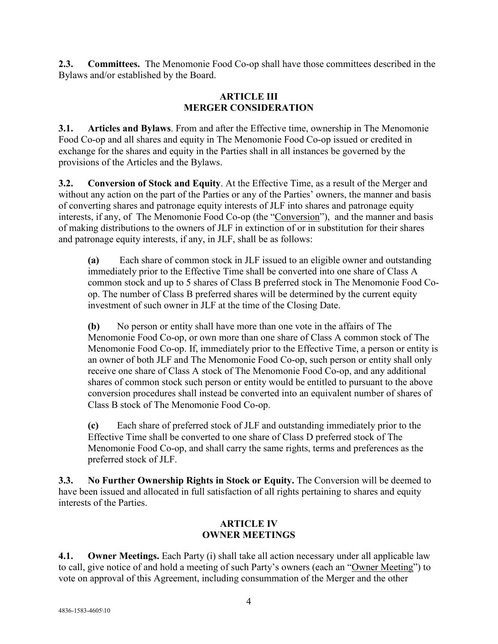**2.3. Committees.** The Menomonie Food Co-op shall have those committees described in the Bylaws and/or established by the Board.

## **ARTICLE III MERGER CONSIDERATION**

**3.1. Articles and Bylaws**. From and after the Effective time, ownership in The Menomonie Food Co-op and all shares and equity in The Menomonie Food Co-op issued or credited in exchange for the shares and equity in the Parties shall in all instances be governed by the provisions of the Articles and the Bylaws.

**3.2. Conversion of Stock and Equity**. At the Effective Time, as a result of the Merger and without any action on the part of the Parties or any of the Parties' owners, the manner and basis of converting shares and patronage equity interests of JLF into shares and patronage equity interests, if any, of The Menomonie Food Co-op (the "Conversion"), and the manner and basis of making distributions to the owners of JLF in extinction of or in substitution for their shares and patronage equity interests, if any, in JLF, shall be as follows:

**(a)** Each share of common stock in JLF issued to an eligible owner and outstanding immediately prior to the Effective Time shall be converted into one share of Class A common stock and up to 5 shares of Class B preferred stock in The Menomonie Food Coop. The number of Class B preferred shares will be determined by the current equity investment of such owner in JLF at the time of the Closing Date.

**(b)** No person or entity shall have more than one vote in the affairs of The Menomonie Food Co-op, or own more than one share of Class A common stock of The Menomonie Food Co-op. If, immediately prior to the Effective Time, a person or entity is an owner of both JLF and The Menomonie Food Co-op, such person or entity shall only receive one share of Class A stock of The Menomonie Food Co-op, and any additional shares of common stock such person or entity would be entitled to pursuant to the above conversion procedures shall instead be converted into an equivalent number of shares of Class B stock of The Menomonie Food Co-op.

**(c)** Each share of preferred stock of JLF and outstanding immediately prior to the Effective Time shall be converted to one share of Class D preferred stock of The Menomonie Food Co-op, and shall carry the same rights, terms and preferences as the preferred stock of JLF.

**3.3. No Further Ownership Rights in Stock or Equity.** The Conversion will be deemed to have been issued and allocated in full satisfaction of all rights pertaining to shares and equity interests of the Parties.

# **ARTICLE IV OWNER MEETINGS**

**4.1. Owner Meetings.** Each Party (i) shall take all action necessary under all applicable law to call, give notice of and hold a meeting of such Party's owners (each an "Owner Meeting") to vote on approval of this Agreement, including consummation of the Merger and the other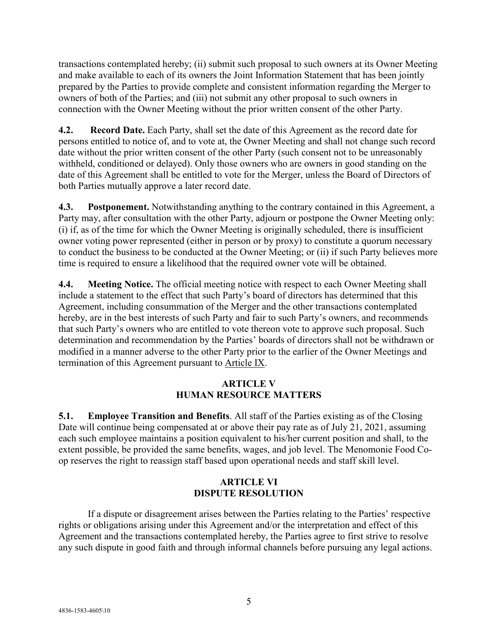transactions contemplated hereby; (ii) submit such proposal to such owners at its Owner Meeting and make available to each of its owners the Joint Information Statement that has been jointly prepared by the Parties to provide complete and consistent information regarding the Merger to owners of both of the Parties; and (iii) not submit any other proposal to such owners in connection with the Owner Meeting without the prior written consent of the other Party.

**4.2. Record Date.** Each Party, shall set the date of this Agreement as the record date for persons entitled to notice of, and to vote at, the Owner Meeting and shall not change such record date without the prior written consent of the other Party (such consent not to be unreasonably withheld, conditioned or delayed). Only those owners who are owners in good standing on the date of this Agreement shall be entitled to vote for the Merger, unless the Board of Directors of both Parties mutually approve a later record date.

**4.3. Postponement.** Notwithstanding anything to the contrary contained in this Agreement, a Party may, after consultation with the other Party, adjourn or postpone the Owner Meeting only: (i) if, as of the time for which the Owner Meeting is originally scheduled, there is insufficient owner voting power represented (either in person or by proxy) to constitute a quorum necessary to conduct the business to be conducted at the Owner Meeting; or (ii) if such Party believes more time is required to ensure a likelihood that the required owner vote will be obtained.

**4.4. Meeting Notice.** The official meeting notice with respect to each Owner Meeting shall include a statement to the effect that such Party's board of directors has determined that this Agreement, including consummation of the Merger and the other transactions contemplated hereby, are in the best interests of such Party and fair to such Party's owners, and recommends that such Party's owners who are entitled to vote thereon vote to approve such proposal. Such determination and recommendation by the Parties' boards of directors shall not be withdrawn or modified in a manner adverse to the other Party prior to the earlier of the Owner Meetings and termination of this Agreement pursuant to [Article IX.](#page-10-0)

## **ARTICLE V HUMAN RESOURCE MATTERS**

**5.1. Employee Transition and Benefits**. All staff of the Parties existing as of the Closing Date will continue being compensated at or above their pay rate as of July 21, 2021, assuming each such employee maintains a position equivalent to his/her current position and shall, to the extent possible, be provided the same benefits, wages, and job level. The Menomonie Food Coop reserves the right to reassign staff based upon operational needs and staff skill level.

## **ARTICLE VI DISPUTE RESOLUTION**

If a dispute or disagreement arises between the Parties relating to the Parties' respective rights or obligations arising under this Agreement and/or the interpretation and effect of this Agreement and the transactions contemplated hereby, the Parties agree to first strive to resolve any such dispute in good faith and through informal channels before pursuing any legal actions.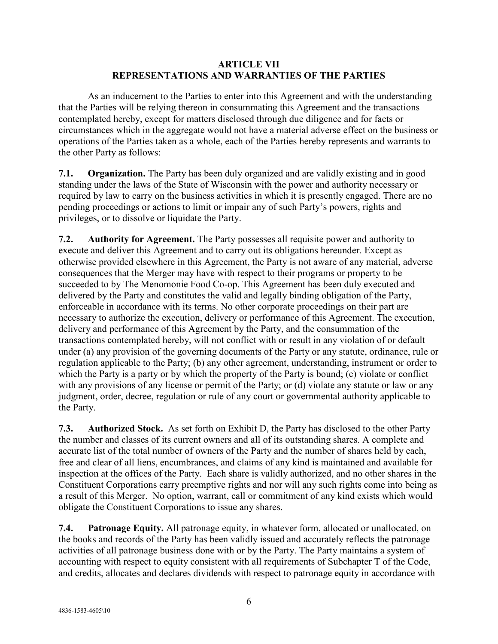#### **ARTICLE VII REPRESENTATIONS AND WARRANTIES OF THE PARTIES**

As an inducement to the Parties to enter into this Agreement and with the understanding that the Parties will be relying thereon in consummating this Agreement and the transactions contemplated hereby, except for matters disclosed through due diligence and for facts or circumstances which in the aggregate would not have a material adverse effect on the business or operations of the Parties taken as a whole, each of the Parties hereby represents and warrants to the other Party as follows:

<span id="page-5-0"></span>**7.1. Organization.** The Party has been duly organized and are validly existing and in good standing under the laws of the State of Wisconsin with the power and authority necessary or required by law to carry on the business activities in which it is presently engaged. There are no pending proceedings or actions to limit or impair any of such Party's powers, rights and privileges, or to dissolve or liquidate the Party.

**7.2. Authority for Agreement.** The Party possesses all requisite power and authority to execute and deliver this Agreement and to carry out its obligations hereunder. Except as otherwise provided elsewhere in this Agreement, the Party is not aware of any material, adverse consequences that the Merger may have with respect to their programs or property to be succeeded to by The Menomonie Food Co-op. This Agreement has been duly executed and delivered by the Party and constitutes the valid and legally binding obligation of the Party, enforceable in accordance with its terms. No other corporate proceedings on their part are necessary to authorize the execution, delivery or performance of this Agreement. The execution, delivery and performance of this Agreement by the Party, and the consummation of the transactions contemplated hereby, will not conflict with or result in any violation of or default under (a) any provision of the governing documents of the Party or any statute, ordinance, rule or regulation applicable to the Party; (b) any other agreement, understanding, instrument or order to which the Party is a party or by which the property of the Party is bound; (c) violate or conflict with any provisions of any license or permit of the Party; or (d) violate any statute or law or any judgment, order, decree, regulation or rule of any court or governmental authority applicable to the Party.

**7.3. Authorized Stock.** As set forth on Exhibit D, the Party has disclosed to the other Party the number and classes of its current owners and all of its outstanding shares. A complete and accurate list of the total number of owners of the Party and the number of shares held by each, free and clear of all liens, encumbrances, and claims of any kind is maintained and available for inspection at the offices of the Party. Each share is validly authorized, and no other shares in the Constituent Corporations carry preemptive rights and nor will any such rights come into being as a result of this Merger. No option, warrant, call or commitment of any kind exists which would obligate the Constituent Corporations to issue any shares.

**7.4. Patronage Equity.** All patronage equity, in whatever form, allocated or unallocated, on the books and records of the Party has been validly issued and accurately reflects the patronage activities of all patronage business done with or by the Party. The Party maintains a system of accounting with respect to equity consistent with all requirements of Subchapter T of the Code, and credits, allocates and declares dividends with respect to patronage equity in accordance with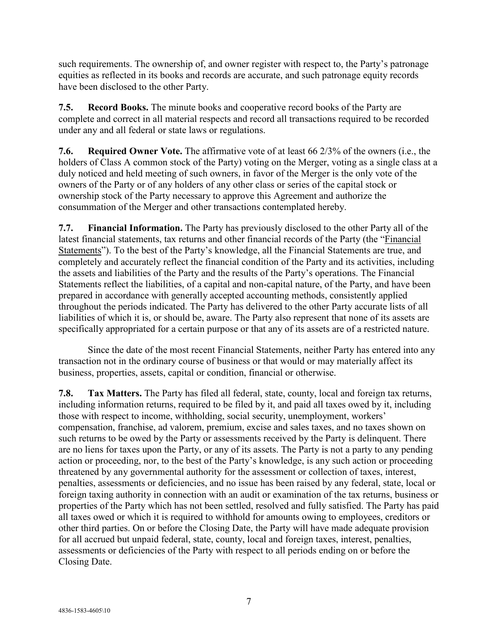such requirements. The ownership of, and owner register with respect to, the Party's patronage equities as reflected in its books and records are accurate, and such patronage equity records have been disclosed to the other Party.

**7.5. Record Books.** The minute books and cooperative record books of the Party are complete and correct in all material respects and record all transactions required to be recorded under any and all federal or state laws or regulations.

**7.6. Required Owner Vote.** The affirmative vote of at least 66 2/3% of the owners (i.e., the holders of Class A common stock of the Party) voting on the Merger, voting as a single class at a duly noticed and held meeting of such owners, in favor of the Merger is the only vote of the owners of the Party or of any holders of any other class or series of the capital stock or ownership stock of the Party necessary to approve this Agreement and authorize the consummation of the Merger and other transactions contemplated hereby.

<span id="page-6-0"></span>**7.7. Financial Information.** The Party has previously disclosed to the other Party all of the latest financial statements, tax returns and other financial records of the Party (the "Financial Statements"). To the best of the Party's knowledge, all the Financial Statements are true, and completely and accurately reflect the financial condition of the Party and its activities, including the assets and liabilities of the Party and the results of the Party's operations. The Financial Statements reflect the liabilities, of a capital and non-capital nature, of the Party, and have been prepared in accordance with generally accepted accounting methods, consistently applied throughout the periods indicated. The Party has delivered to the other Party accurate lists of all liabilities of which it is, or should be, aware. The Party also represent that none of its assets are specifically appropriated for a certain purpose or that any of its assets are of a restricted nature.

Since the date of the most recent Financial Statements, neither Party has entered into any transaction not in the ordinary course of business or that would or may materially affect its business, properties, assets, capital or condition, financial or otherwise.

**7.8. Tax Matters.** The Party has filed all federal, state, county, local and foreign tax returns, including information returns, required to be filed by it, and paid all taxes owed by it, including those with respect to income, withholding, social security, unemployment, workers' compensation, franchise, ad valorem, premium, excise and sales taxes, and no taxes shown on such returns to be owed by the Party or assessments received by the Party is delinquent. There are no liens for taxes upon the Party, or any of its assets. The Party is not a party to any pending action or proceeding, nor, to the best of the Party's knowledge, is any such action or proceeding threatened by any governmental authority for the assessment or collection of taxes, interest, penalties, assessments or deficiencies, and no issue has been raised by any federal, state, local or foreign taxing authority in connection with an audit or examination of the tax returns, business or properties of the Party which has not been settled, resolved and fully satisfied. The Party has paid all taxes owed or which it is required to withhold for amounts owing to employees, creditors or other third parties. On or before the Closing Date, the Party will have made adequate provision for all accrued but unpaid federal, state, county, local and foreign taxes, interest, penalties, assessments or deficiencies of the Party with respect to all periods ending on or before the Closing Date.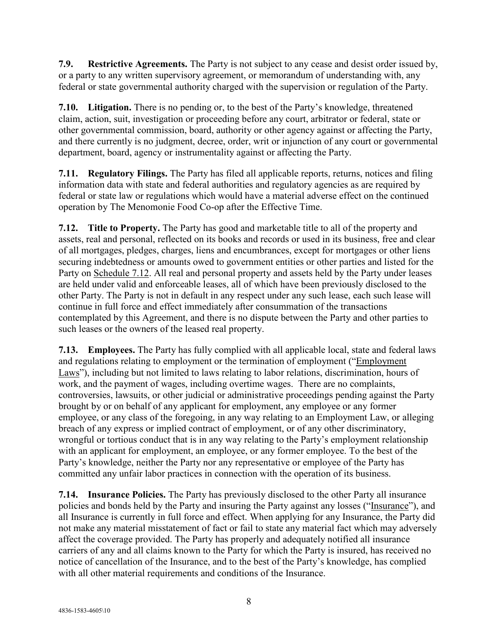**7.9. Restrictive Agreements.** The Party is not subject to any cease and desist order issued by, or a party to any written supervisory agreement, or memorandum of understanding with, any federal or state governmental authority charged with the supervision or regulation of the Party.

**7.10. Litigation.** There is no pending or, to the best of the Party's knowledge, threatened claim, action, suit, investigation or proceeding before any court, arbitrator or federal, state or other governmental commission, board, authority or other agency against or affecting the Party, and there currently is no judgment, decree, order, writ or injunction of any court or governmental department, board, agency or instrumentality against or affecting the Party.

**7.11. Regulatory Filings.** The Party has filed all applicable reports, returns, notices and filing information data with state and federal authorities and regulatory agencies as are required by federal or state law or regulations which would have a material adverse effect on the continued operation by The Menomonie Food Co-op after the Effective Time.

<span id="page-7-0"></span>**7.12. Title to Property.** The Party has good and marketable title to all of the property and assets, real and personal, reflected on its books and records or used in its business, free and clear of all mortgages, pledges, charges, liens and encumbrances, except for mortgages or other liens securing indebtedness or amounts owed to government entities or other parties and listed for the Party on Schedule 7.12. All real and personal property and assets held by the Party under leases are held under valid and enforceable leases, all of which have been previously disclosed to the other Party. The Party is not in default in any respect under any such lease, each such lease will continue in full force and effect immediately after consummation of the transactions contemplated by this Agreement, and there is no dispute between the Party and other parties to such leases or the owners of the leased real property.

**7.13. Employees.** The Party has fully complied with all applicable local, state and federal laws and regulations relating to employment or the termination of employment ("Employment Laws"), including but not limited to laws relating to labor relations, discrimination, hours of work, and the payment of wages, including overtime wages. There are no complaints, controversies, lawsuits, or other judicial or administrative proceedings pending against the Party brought by or on behalf of any applicant for employment, any employee or any former employee, or any class of the foregoing, in any way relating to an Employment Law, or alleging breach of any express or implied contract of employment, or of any other discriminatory, wrongful or tortious conduct that is in any way relating to the Party's employment relationship with an applicant for employment, an employee, or any former employee. To the best of the Party's knowledge, neither the Party nor any representative or employee of the Party has committed any unfair labor practices in connection with the operation of its business.

**7.14. Insurance Policies.** The Party has previously disclosed to the other Party all insurance policies and bonds held by the Party and insuring the Party against any losses ("Insurance"), and all Insurance is currently in full force and effect. When applying for any Insurance, the Party did not make any material misstatement of fact or fail to state any material fact which may adversely affect the coverage provided. The Party has properly and adequately notified all insurance carriers of any and all claims known to the Party for which the Party is insured, has received no notice of cancellation of the Insurance, and to the best of the Party's knowledge, has complied with all other material requirements and conditions of the Insurance.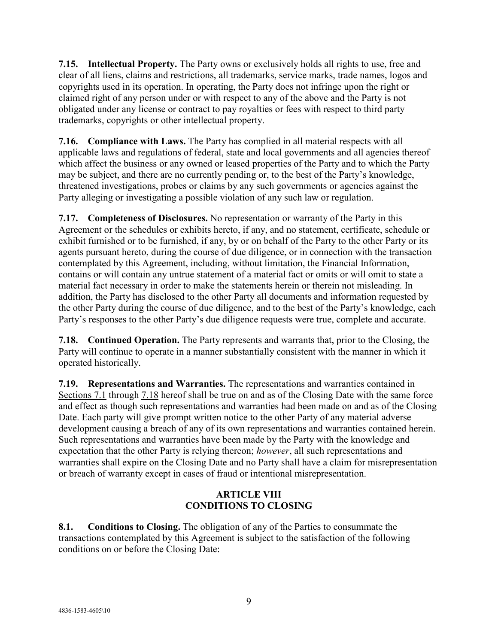**7.15. Intellectual Property.** The Party owns or exclusively holds all rights to use, free and clear of all liens, claims and restrictions, all trademarks, service marks, trade names, logos and copyrights used in its operation. In operating, the Party does not infringe upon the right or claimed right of any person under or with respect to any of the above and the Party is not obligated under any license or contract to pay royalties or fees with respect to third party trademarks, copyrights or other intellectual property.

**7.16. Compliance with Laws.** The Party has complied in all material respects with all applicable laws and regulations of federal, state and local governments and all agencies thereof which affect the business or any owned or leased properties of the Party and to which the Party may be subject, and there are no currently pending or, to the best of the Party's knowledge, threatened investigations, probes or claims by any such governments or agencies against the Party alleging or investigating a possible violation of any such law or regulation.

<span id="page-8-3"></span>**7.17. Completeness of Disclosures.** No representation or warranty of the Party in this Agreement or the schedules or exhibits hereto, if any, and no statement, certificate, schedule or exhibit furnished or to be furnished, if any, by or on behalf of the Party to the other Party or its agents pursuant hereto, during the course of due diligence, or in connection with the transaction contemplated by this Agreement, including, without limitation, the Financial Information, contains or will contain any untrue statement of a material fact or omits or will omit to state a material fact necessary in order to make the statements herein or therein not misleading. In addition, the Party has disclosed to the other Party all documents and information requested by the other Party during the course of due diligence, and to the best of the Party's knowledge, each Party's responses to the other Party's due diligence requests were true, complete and accurate.

<span id="page-8-1"></span>**7.18. Continued Operation.** The Party represents and warrants that, prior to the Closing, the Party will continue to operate in a manner substantially consistent with the manner in which it operated historically.

**7.19. Representations and Warranties.** The representations and warranties contained in Sections [7.1](#page-5-0) through [7.18](#page-8-1) hereof shall be true on and as of the Closing Date with the same force and effect as though such representations and warranties had been made on and as of the Closing Date. Each party will give prompt written notice to the other Party of any material adverse development causing a breach of any of its own representations and warranties contained herein. Such representations and warranties have been made by the Party with the knowledge and expectation that the other Party is relying thereon; *however*, all such representations and warranties shall expire on the Closing Date and no Party shall have a claim for misrepresentation or breach of warranty except in cases of fraud or intentional misrepresentation.

# **ARTICLE VIII CONDITIONS TO CLOSING**

<span id="page-8-2"></span><span id="page-8-0"></span>**8.1. Conditions to Closing.** The obligation of any of the Parties to consummate the transactions contemplated by this Agreement is subject to the satisfaction of the following conditions on or before the Closing Date: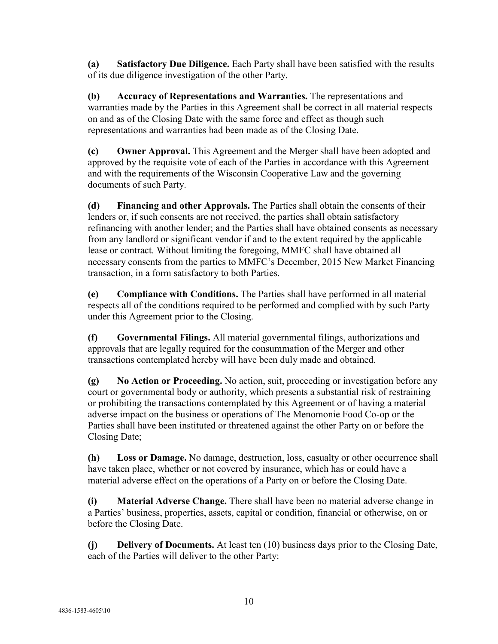**(a) Satisfactory Due Diligence.** Each Party shall have been satisfied with the results of its due diligence investigation of the other Party.

**(b) Accuracy of Representations and Warranties.** The representations and warranties made by the Parties in this Agreement shall be correct in all material respects on and as of the Closing Date with the same force and effect as though such representations and warranties had been made as of the Closing Date.

**(c) Owner Approval.** This Agreement and the Merger shall have been adopted and approved by the requisite vote of each of the Parties in accordance with this Agreement and with the requirements of the Wisconsin Cooperative Law and the governing documents of such Party.

**(d) Financing and other Approvals.** The Parties shall obtain the consents of their lenders or, if such consents are not received, the parties shall obtain satisfactory refinancing with another lender; and the Parties shall have obtained consents as necessary from any landlord or significant vendor if and to the extent required by the applicable lease or contract. Without limiting the foregoing, MMFC shall have obtained all necessary consents from the parties to MMFC's December, 2015 New Market Financing transaction, in a form satisfactory to both Parties.

**(e) Compliance with Conditions.** The Parties shall have performed in all material respects all of the conditions required to be performed and complied with by such Party under this Agreement prior to the Closing.

**(f) Governmental Filings.** All material governmental filings, authorizations and approvals that are legally required for the consummation of the Merger and other transactions contemplated hereby will have been duly made and obtained.

**(g) No Action or Proceeding.** No action, suit, proceeding or investigation before any court or governmental body or authority, which presents a substantial risk of restraining or prohibiting the transactions contemplated by this Agreement or of having a material adverse impact on the business or operations of The Menomonie Food Co-op or the Parties shall have been instituted or threatened against the other Party on or before the Closing Date;

**(h) Loss or Damage.** No damage, destruction, loss, casualty or other occurrence shall have taken place, whether or not covered by insurance, which has or could have a material adverse effect on the operations of a Party on or before the Closing Date.

**(i) Material Adverse Change.** There shall have been no material adverse change in a Parties' business, properties, assets, capital or condition, financial or otherwise, on or before the Closing Date.

**(j) Delivery of Documents.** At least ten (10) business days prior to the Closing Date, each of the Parties will deliver to the other Party: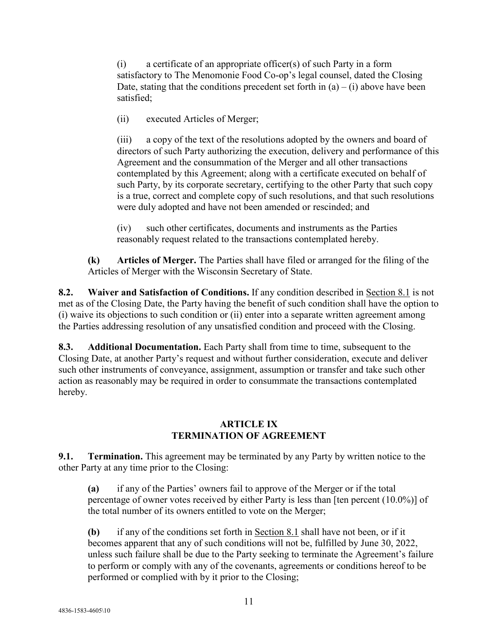(i) a certificate of an appropriate officer(s) of such Party in a form satisfactory to The Menomonie Food Co-op's legal counsel, dated the Closing Date, stating that the conditions precedent set forth in  $(a) - (i)$  above have been satisfied;

(ii) executed Articles of Merger;

(iii) a copy of the text of the resolutions adopted by the owners and board of directors of such Party authorizing the execution, delivery and performance of this Agreement and the consummation of the Merger and all other transactions contemplated by this Agreement; along with a certificate executed on behalf of such Party, by its corporate secretary, certifying to the other Party that such copy is a true, correct and complete copy of such resolutions, and that such resolutions were duly adopted and have not been amended or rescinded; and

(iv) such other certificates, documents and instruments as the Parties reasonably request related to the transactions contemplated hereby.

**(k) Articles of Merger.** The Parties shall have filed or arranged for the filing of the Articles of Merger with the Wisconsin Secretary of State.

**8.2. Waiver and Satisfaction of Conditions.** If any condition described in Section [8.1](#page-8-2) is not met as of the Closing Date, the Party having the benefit of such condition shall have the option to (i) waive its objections to such condition or (ii) enter into a separate written agreement among the Parties addressing resolution of any unsatisfied condition and proceed with the Closing.

**8.3. Additional Documentation.** Each Party shall from time to time, subsequent to the Closing Date, at another Party's request and without further consideration, execute and deliver such other instruments of conveyance, assignment, assumption or transfer and take such other action as reasonably may be required in order to consummate the transactions contemplated hereby.

## **ARTICLE IX TERMINATION OF AGREEMENT**

<span id="page-10-0"></span>**9.1. Termination.** This agreement may be terminated by any Party by written notice to the other Party at any time prior to the Closing:

**(a)** if any of the Parties' owners fail to approve of the Merger or if the total percentage of owner votes received by either Party is less than [ten percent (10.0%)] of the total number of its owners entitled to vote on the Merger;

**(b)** if any of the conditions set forth in Section [8.1](#page-8-2) shall have not been, or if it becomes apparent that any of such conditions will not be, fulfilled by June 30, 2022, unless such failure shall be due to the Party seeking to terminate the Agreement's failure to perform or comply with any of the covenants, agreements or conditions hereof to be performed or complied with by it prior to the Closing;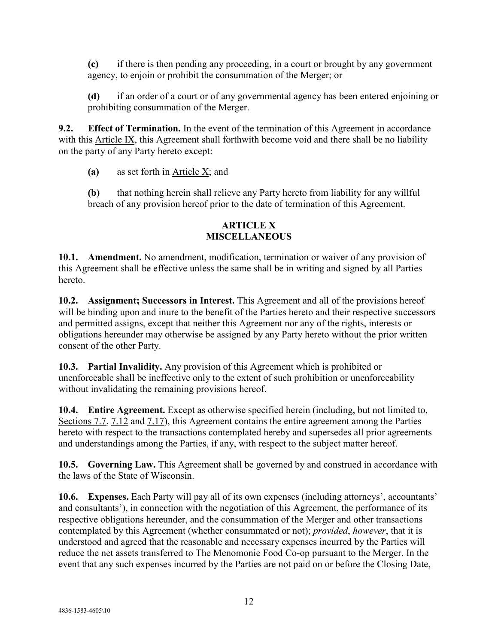**(c)** if there is then pending any proceeding, in a court or brought by any government agency, to enjoin or prohibit the consummation of the Merger; or

**(d)** if an order of a court or of any governmental agency has been entered enjoining or prohibiting consummation of the Merger.

**9.2. Effect of Termination.** In the event of the termination of this Agreement in accordance with this [Article IX,](#page-10-0) this Agreement shall forthwith become void and there shall be no liability on the party of any Party hereto except:

**(a)** as set forth in [Article X;](#page-11-0) and

**(b)** that nothing herein shall relieve any Party hereto from liability for any willful breach of any provision hereof prior to the date of termination of this Agreement.

## **ARTICLE X MISCELLANEOUS**

<span id="page-11-0"></span>**10.1. Amendment.** No amendment, modification, termination or waiver of any provision of this Agreement shall be effective unless the same shall be in writing and signed by all Parties hereto.

**10.2. Assignment; Successors in Interest.** This Agreement and all of the provisions hereof will be binding upon and inure to the benefit of the Parties hereto and their respective successors and permitted assigns, except that neither this Agreement nor any of the rights, interests or obligations hereunder may otherwise be assigned by any Party hereto without the prior written consent of the other Party.

**10.3. Partial Invalidity.** Any provision of this Agreement which is prohibited or unenforceable shall be ineffective only to the extent of such prohibition or unenforceability without invalidating the remaining provisions hereof.

**10.4. Entire Agreement.** Except as otherwise specified herein (including, but not limited to, Sections [7.7,](#page-6-0) [7.12](#page-7-0) and [7.17\)](#page-8-3), this Agreement contains the entire agreement among the Parties hereto with respect to the transactions contemplated hereby and supersedes all prior agreements and understandings among the Parties, if any, with respect to the subject matter hereof.

**10.5. Governing Law.** This Agreement shall be governed by and construed in accordance with the laws of the State of Wisconsin.

**10.6. Expenses.** Each Party will pay all of its own expenses (including attorneys', accountants' and consultants'), in connection with the negotiation of this Agreement, the performance of its respective obligations hereunder, and the consummation of the Merger and other transactions contemplated by this Agreement (whether consummated or not); *provided*, *however*, that it is understood and agreed that the reasonable and necessary expenses incurred by the Parties will reduce the net assets transferred to The Menomonie Food Co-op pursuant to the Merger. In the event that any such expenses incurred by the Parties are not paid on or before the Closing Date,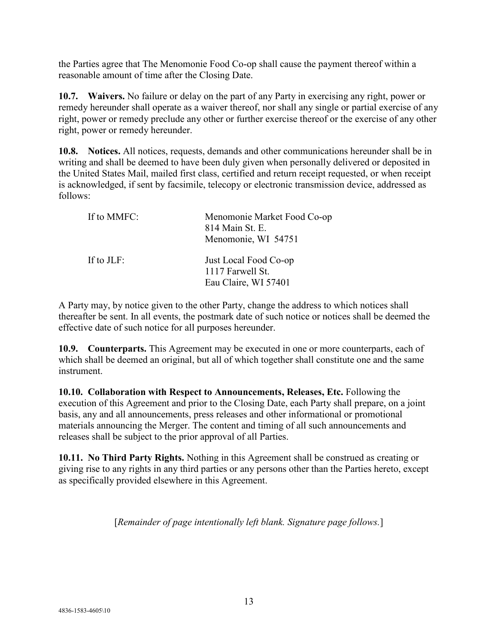the Parties agree that The Menomonie Food Co-op shall cause the payment thereof within a reasonable amount of time after the Closing Date.

**10.7. Waivers.** No failure or delay on the part of any Party in exercising any right, power or remedy hereunder shall operate as a waiver thereof, nor shall any single or partial exercise of any right, power or remedy preclude any other or further exercise thereof or the exercise of any other right, power or remedy hereunder.

**10.8. Notices.** All notices, requests, demands and other communications hereunder shall be in writing and shall be deemed to have been duly given when personally delivered or deposited in the United States Mail, mailed first class, certified and return receipt requested, or when receipt is acknowledged, if sent by facsimile, telecopy or electronic transmission device, addressed as follows:

| If to MMFC: | Menomonie Market Food Co-op<br>814 Main St. E.<br>Menomonie, WI 54751 |
|-------------|-----------------------------------------------------------------------|
| If to JLF:  | Just Local Food Co-op<br>1117 Farwell St.<br>Eau Claire, WI 57401     |

A Party may, by notice given to the other Party, change the address to which notices shall thereafter be sent. In all events, the postmark date of such notice or notices shall be deemed the effective date of such notice for all purposes hereunder.

**10.9. Counterparts.** This Agreement may be executed in one or more counterparts, each of which shall be deemed an original, but all of which together shall constitute one and the same instrument.

**10.10. Collaboration with Respect to Announcements, Releases, Etc.** Following the execution of this Agreement and prior to the Closing Date, each Party shall prepare, on a joint basis, any and all announcements, press releases and other informational or promotional materials announcing the Merger. The content and timing of all such announcements and releases shall be subject to the prior approval of all Parties.

**10.11. No Third Party Rights.** Nothing in this Agreement shall be construed as creating or giving rise to any rights in any third parties or any persons other than the Parties hereto, except as specifically provided elsewhere in this Agreement.

[*Remainder of page intentionally left blank. Signature page follows.*]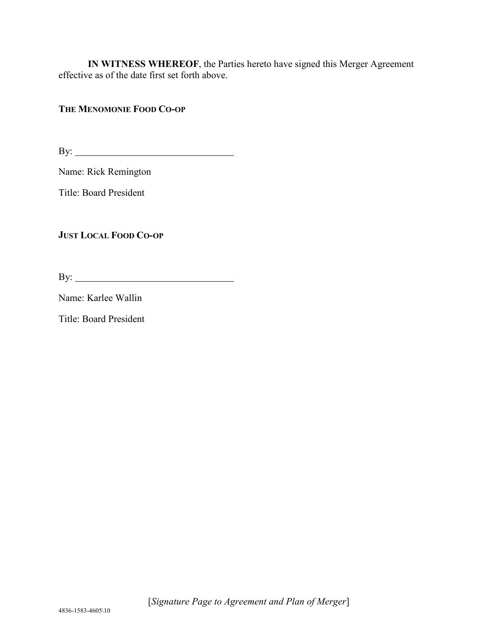**IN WITNESS WHEREOF**, the Parties hereto have signed this Merger Agreement effective as of the date first set forth above.

## **THE MENOMONIE FOOD CO-OP**

By:

Name: Rick Remington

Title: Board President

**JUST LOCAL FOOD CO-OP**

By:

Name: Karlee Wallin

Title: Board President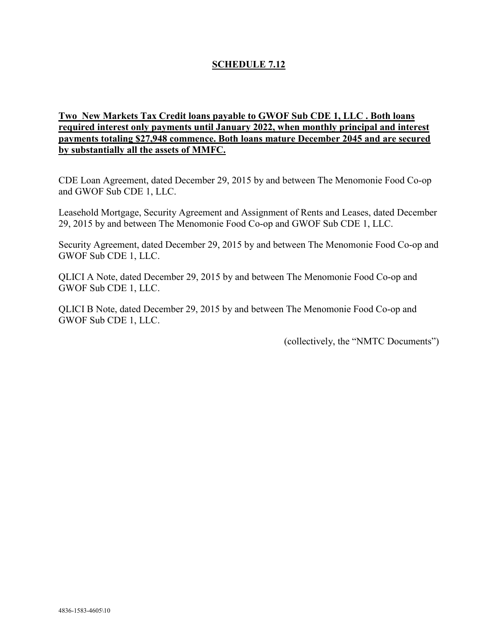# **SCHEDULE 7.12**

## **Two New Markets Tax Credit loans payable to GWOF Sub CDE 1, LLC . Both loans required interest only payments until January 2022, when monthly principal and interest payments totaling \$27,948 commence. Both loans mature December 2045 and are secured by substantially all the assets of MMFC.**

CDE Loan Agreement, dated December 29, 2015 by and between The Menomonie Food Co-op and GWOF Sub CDE 1, LLC.

Leasehold Mortgage, Security Agreement and Assignment of Rents and Leases, dated December 29, 2015 by and between The Menomonie Food Co-op and GWOF Sub CDE 1, LLC.

Security Agreement, dated December 29, 2015 by and between The Menomonie Food Co-op and GWOF Sub CDE 1, LLC.

QLICI A Note, dated December 29, 2015 by and between The Menomonie Food Co-op and GWOF Sub CDE 1, LLC.

QLICI B Note, dated December 29, 2015 by and between The Menomonie Food Co-op and GWOF Sub CDE 1, LLC.

(collectively, the "NMTC Documents")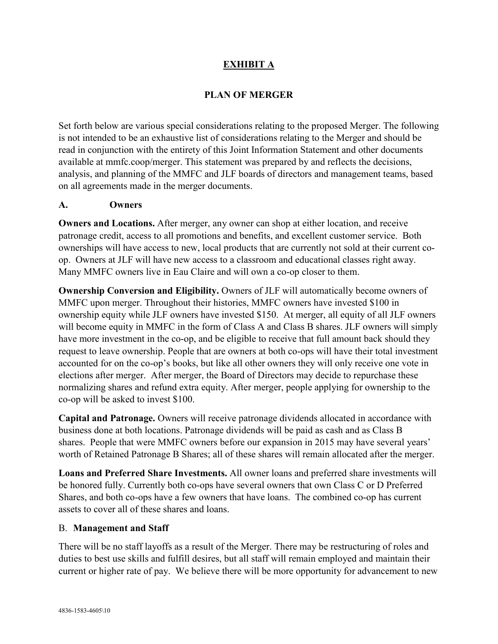# **EXHIBIT A**

# **PLAN OF MERGER**

Set forth below are various special considerations relating to the proposed Merger. The following is not intended to be an exhaustive list of considerations relating to the Merger and should be read in conjunction with the entirety of this Joint Information Statement and other documents available at mmfc.coop/merger. This statement was prepared by and reflects the decisions, analysis, and planning of the MMFC and JLF boards of directors and management teams, based on all agreements made in the merger documents.

#### **A. Owners**

**Owners and Locations.** After merger, any owner can shop at either location, and receive patronage credit, access to all promotions and benefits, and excellent customer service. Both ownerships will have access to new, local products that are currently not sold at their current coop. Owners at JLF will have new access to a classroom and educational classes right away. Many MMFC owners live in Eau Claire and will own a co-op closer to them.

**Ownership Conversion and Eligibility.** Owners of JLF will automatically become owners of MMFC upon merger. Throughout their histories, MMFC owners have invested \$100 in ownership equity while JLF owners have invested \$150. At merger, all equity of all JLF owners will become equity in MMFC in the form of Class A and Class B shares. JLF owners will simply have more investment in the co-op, and be eligible to receive that full amount back should they request to leave ownership. People that are owners at both co-ops will have their total investment accounted for on the co-op's books, but like all other owners they will only receive one vote in elections after merger. After merger, the Board of Directors may decide to repurchase these normalizing shares and refund extra equity. After merger, people applying for ownership to the co-op will be asked to invest \$100.

**Capital and Patronage.** Owners will receive patronage dividends allocated in accordance with business done at both locations. Patronage dividends will be paid as cash and as Class B shares. People that were MMFC owners before our expansion in 2015 may have several years' worth of Retained Patronage B Shares; all of these shares will remain allocated after the merger.

**Loans and Preferred Share Investments.** All owner loans and preferred share investments will be honored fully. Currently both co-ops have several owners that own Class C or D Preferred Shares, and both co-ops have a few owners that have loans. The combined co-op has current assets to cover all of these shares and loans.

#### B. **Management and Staff**

There will be no staff layoffs as a result of the Merger. There may be restructuring of roles and duties to best use skills and fulfill desires, but all staff will remain employed and maintain their current or higher rate of pay. We believe there will be more opportunity for advancement to new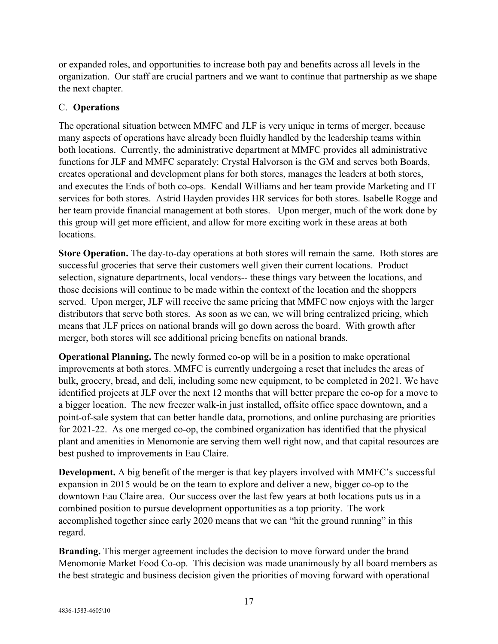or expanded roles, and opportunities to increase both pay and benefits across all levels in the organization. Our staff are crucial partners and we want to continue that partnership as we shape the next chapter.

# C. **Operations**

The operational situation between MMFC and JLF is very unique in terms of merger, because many aspects of operations have already been fluidly handled by the leadership teams within both locations. Currently, the administrative department at MMFC provides all administrative functions for JLF and MMFC separately: Crystal Halvorson is the GM and serves both Boards, creates operational and development plans for both stores, manages the leaders at both stores, and executes the Ends of both co-ops. Kendall Williams and her team provide Marketing and IT services for both stores. Astrid Hayden provides HR services for both stores. Isabelle Rogge and her team provide financial management at both stores. Upon merger, much of the work done by this group will get more efficient, and allow for more exciting work in these areas at both locations.

**Store Operation.** The day-to-day operations at both stores will remain the same. Both stores are successful groceries that serve their customers well given their current locations. Product selection, signature departments, local vendors-- these things vary between the locations, and those decisions will continue to be made within the context of the location and the shoppers served. Upon merger, JLF will receive the same pricing that MMFC now enjoys with the larger distributors that serve both stores. As soon as we can, we will bring centralized pricing, which means that JLF prices on national brands will go down across the board. With growth after merger, both stores will see additional pricing benefits on national brands.

**Operational Planning.** The newly formed co-op will be in a position to make operational improvements at both stores. MMFC is currently undergoing a reset that includes the areas of bulk, grocery, bread, and deli, including some new equipment, to be completed in 2021. We have identified projects at JLF over the next 12 months that will better prepare the co-op for a move to a bigger location. The new freezer walk-in just installed, offsite office space downtown, and a point-of-sale system that can better handle data, promotions, and online purchasing are priorities for 2021-22. As one merged co-op, the combined organization has identified that the physical plant and amenities in Menomonie are serving them well right now, and that capital resources are best pushed to improvements in Eau Claire.

**Development.** A big benefit of the merger is that key players involved with MMFC's successful expansion in 2015 would be on the team to explore and deliver a new, bigger co-op to the downtown Eau Claire area. Our success over the last few years at both locations puts us in a combined position to pursue development opportunities as a top priority. The work accomplished together since early 2020 means that we can "hit the ground running" in this regard.

**Branding.** This merger agreement includes the decision to move forward under the brand Menomonie Market Food Co-op. This decision was made unanimously by all board members as the best strategic and business decision given the priorities of moving forward with operational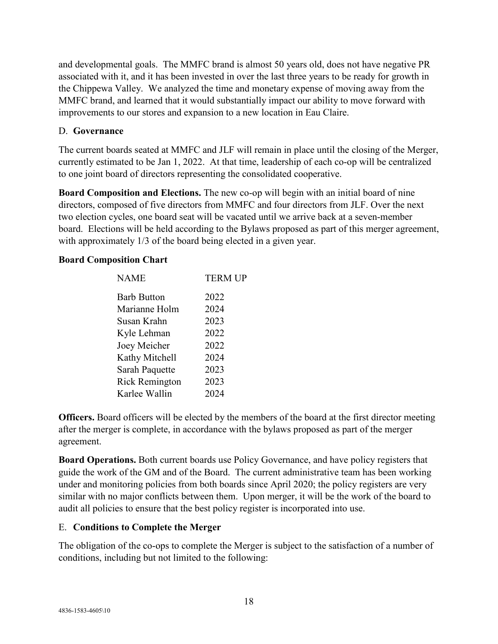and developmental goals. The MMFC brand is almost 50 years old, does not have negative PR associated with it, and it has been invested in over the last three years to be ready for growth in the Chippewa Valley. We analyzed the time and monetary expense of moving away from the MMFC brand, and learned that it would substantially impact our ability to move forward with improvements to our stores and expansion to a new location in Eau Claire.

#### D. **Governance**

The current boards seated at MMFC and JLF will remain in place until the closing of the Merger, currently estimated to be Jan 1, 2022. At that time, leadership of each co-op will be centralized to one joint board of directors representing the consolidated cooperative.

**Board Composition and Elections.** The new co-op will begin with an initial board of nine directors, composed of five directors from MMFC and four directors from JLF. Over the next two election cycles, one board seat will be vacated until we arrive back at a seven-member board. Elections will be held according to the Bylaws proposed as part of this merger agreement, with approximately 1/3 of the board being elected in a given year.

#### **Board Composition Chart**

| <b>NAME</b>           | <b>TERM UP</b> |  |  |
|-----------------------|----------------|--|--|
| <b>Barb Button</b>    | 2022           |  |  |
| Marianne Holm         | 2024           |  |  |
| Susan Krahn           | 2023           |  |  |
| Kyle Lehman           | 2022           |  |  |
| Joey Meicher          | 2022           |  |  |
| Kathy Mitchell        | 2024           |  |  |
| Sarah Paquette        | 2023           |  |  |
| <b>Rick Remington</b> | 2023           |  |  |
| Karlee Wallin         | 2024           |  |  |
|                       |                |  |  |

**Officers.** Board officers will be elected by the members of the board at the first director meeting after the merger is complete, in accordance with the bylaws proposed as part of the merger agreement.

**Board Operations.** Both current boards use Policy Governance, and have policy registers that guide the work of the GM and of the Board. The current administrative team has been working under and monitoring policies from both boards since April 2020; the policy registers are very similar with no major conflicts between them. Upon merger, it will be the work of the board to audit all policies to ensure that the best policy register is incorporated into use.

## E. **Conditions to Complete the Merger**

The obligation of the co-ops to complete the Merger is subject to the satisfaction of a number of conditions, including but not limited to the following: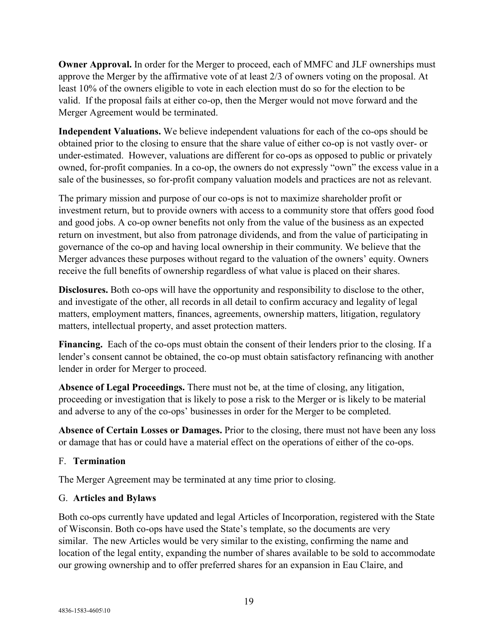**Owner Approval.** In order for the Merger to proceed, each of MMFC and JLF ownerships must approve the Merger by the affirmative vote of at least 2/3 of owners voting on the proposal. At least 10% of the owners eligible to vote in each election must do so for the election to be valid. If the proposal fails at either co-op, then the Merger would not move forward and the Merger Agreement would be terminated.

**Independent Valuations.** We believe independent valuations for each of the co-ops should be obtained prior to the closing to ensure that the share value of either co-op is not vastly over- or under-estimated. However, valuations are different for co-ops as opposed to public or privately owned, for-profit companies. In a co-op, the owners do not expressly "own" the excess value in a sale of the businesses, so for-profit company valuation models and practices are not as relevant.

The primary mission and purpose of our co-ops is not to maximize shareholder profit or investment return, but to provide owners with access to a community store that offers good food and good jobs. A co-op owner benefits not only from the value of the business as an expected return on investment, but also from patronage dividends, and from the value of participating in governance of the co-op and having local ownership in their community. We believe that the Merger advances these purposes without regard to the valuation of the owners' equity. Owners receive the full benefits of ownership regardless of what value is placed on their shares.

**Disclosures.** Both co-ops will have the opportunity and responsibility to disclose to the other, and investigate of the other, all records in all detail to confirm accuracy and legality of legal matters, employment matters, finances, agreements, ownership matters, litigation, regulatory matters, intellectual property, and asset protection matters.

**Financing.** Each of the co-ops must obtain the consent of their lenders prior to the closing. If a lender's consent cannot be obtained, the co-op must obtain satisfactory refinancing with another lender in order for Merger to proceed.

**Absence of Legal Proceedings.** There must not be, at the time of closing, any litigation, proceeding or investigation that is likely to pose a risk to the Merger or is likely to be material and adverse to any of the co-ops' businesses in order for the Merger to be completed.

**Absence of Certain Losses or Damages.** Prior to the closing, there must not have been any loss or damage that has or could have a material effect on the operations of either of the co-ops.

## F. **Termination**

The Merger Agreement may be terminated at any time prior to closing.

## G. **Articles and Bylaws**

Both co-ops currently have updated and legal Articles of Incorporation, registered with the State of Wisconsin. Both co-ops have used the State's template, so the documents are very similar. The new Articles would be very similar to the existing, confirming the name and location of the legal entity, expanding the number of shares available to be sold to accommodate our growing ownership and to offer preferred shares for an expansion in Eau Claire, and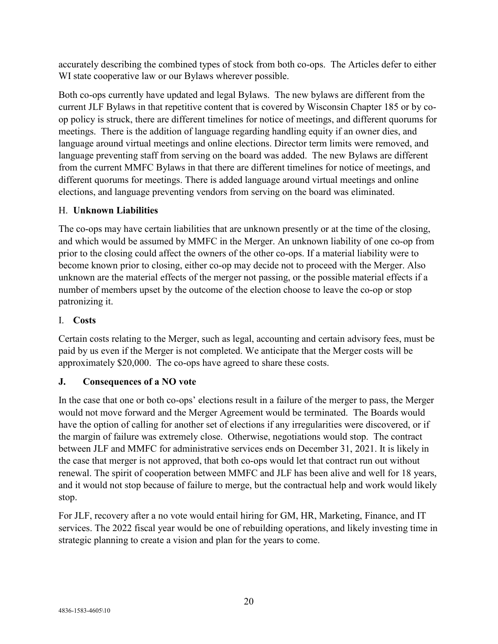accurately describing the combined types of stock from both co-ops. The Articles defer to either WI state cooperative law or our Bylaws wherever possible.

Both co-ops currently have updated and legal Bylaws. The new bylaws are different from the current JLF Bylaws in that repetitive content that is covered by Wisconsin Chapter 185 or by coop policy is struck, there are different timelines for notice of meetings, and different quorums for meetings. There is the addition of language regarding handling equity if an owner dies, and language around virtual meetings and online elections. Director term limits were removed, and language preventing staff from serving on the board was added. The new Bylaws are different from the current MMFC Bylaws in that there are different timelines for notice of meetings, and different quorums for meetings. There is added language around virtual meetings and online elections, and language preventing vendors from serving on the board was eliminated.

# H. **Unknown Liabilities**

The co-ops may have certain liabilities that are unknown presently or at the time of the closing, and which would be assumed by MMFC in the Merger. An unknown liability of one co-op from prior to the closing could affect the owners of the other co-ops. If a material liability were to become known prior to closing, either co-op may decide not to proceed with the Merger. Also unknown are the material effects of the merger not passing, or the possible material effects if a number of members upset by the outcome of the election choose to leave the co-op or stop patronizing it.

# I. **Costs**

Certain costs relating to the Merger, such as legal, accounting and certain advisory fees, must be paid by us even if the Merger is not completed. We anticipate that the Merger costs will be approximately \$20,000. The co-ops have agreed to share these costs.

# **J. Consequences of a NO vote**

In the case that one or both co-ops' elections result in a failure of the merger to pass, the Merger would not move forward and the Merger Agreement would be terminated. The Boards would have the option of calling for another set of elections if any irregularities were discovered, or if the margin of failure was extremely close. Otherwise, negotiations would stop. The contract between JLF and MMFC for administrative services ends on December 31, 2021. It is likely in the case that merger is not approved, that both co-ops would let that contract run out without renewal. The spirit of cooperation between MMFC and JLF has been alive and well for 18 years, and it would not stop because of failure to merge, but the contractual help and work would likely stop.

For JLF, recovery after a no vote would entail hiring for GM, HR, Marketing, Finance, and IT services. The 2022 fiscal year would be one of rebuilding operations, and likely investing time in strategic planning to create a vision and plan for the years to come.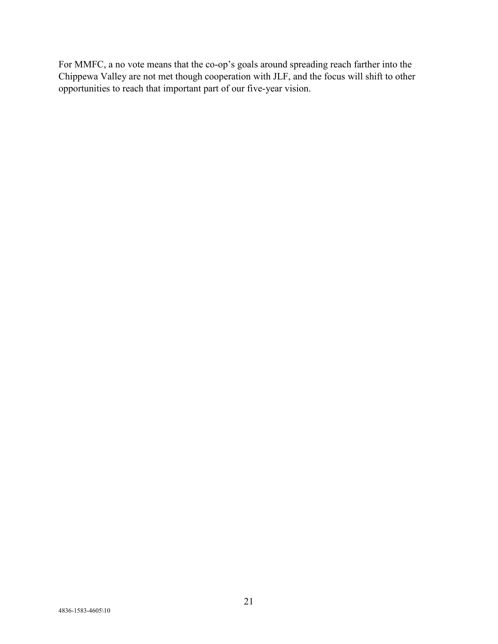For MMFC, a no vote means that the co-op's goals around spreading reach farther into the Chippewa Valley are not met though cooperation with JLF, and the focus will shift to other opportunities to reach that important part of our five-year vision.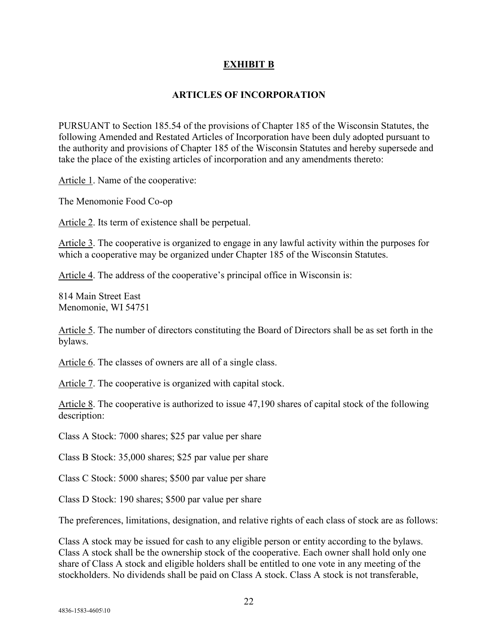## **EXHIBIT B**

#### **ARTICLES OF INCORPORATION**

PURSUANT to Section 185.54 of the provisions of Chapter 185 of the Wisconsin Statutes, the following Amended and Restated Articles of Incorporation have been duly adopted pursuant to the authority and provisions of Chapter 185 of the Wisconsin Statutes and hereby supersede and take the place of the existing articles of incorporation and any amendments thereto:

Article 1. Name of the cooperative:

The Menomonie Food Co-op

Article 2. Its term of existence shall be perpetual.

Article 3. The cooperative is organized to engage in any lawful activity within the purposes for which a cooperative may be organized under Chapter 185 of the Wisconsin Statutes.

Article 4. The address of the cooperative's principal office in Wisconsin is:

814 Main Street East Menomonie, WI 54751

Article 5. The number of directors constituting the Board of Directors shall be as set forth in the bylaws.

Article 6. The classes of owners are all of a single class.

Article 7. The cooperative is organized with capital stock.

Article 8. The cooperative is authorized to issue 47,190 shares of capital stock of the following description:

Class A Stock: 7000 shares; \$25 par value per share

Class B Stock: 35,000 shares; \$25 par value per share

Class C Stock: 5000 shares; \$500 par value per share

Class D Stock: 190 shares; \$500 par value per share

The preferences, limitations, designation, and relative rights of each class of stock are as follows:

Class A stock may be issued for cash to any eligible person or entity according to the bylaws. Class A stock shall be the ownership stock of the cooperative. Each owner shall hold only one share of Class A stock and eligible holders shall be entitled to one vote in any meeting of the stockholders. No dividends shall be paid on Class A stock. Class A stock is not transferable,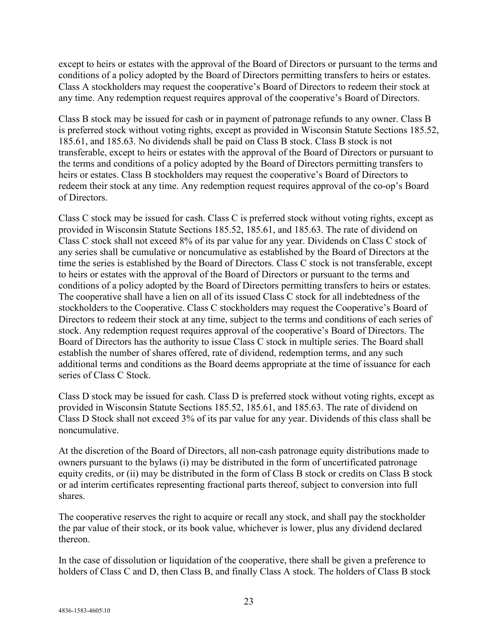except to heirs or estates with the approval of the Board of Directors or pursuant to the terms and conditions of a policy adopted by the Board of Directors permitting transfers to heirs or estates. Class A stockholders may request the cooperative's Board of Directors to redeem their stock at any time. Any redemption request requires approval of the cooperative's Board of Directors.

Class B stock may be issued for cash or in payment of patronage refunds to any owner. Class B is preferred stock without voting rights, except as provided in Wisconsin Statute Sections 185.52, 185.61, and 185.63. No dividends shall be paid on Class B stock. Class B stock is not transferable, except to heirs or estates with the approval of the Board of Directors or pursuant to the terms and conditions of a policy adopted by the Board of Directors permitting transfers to heirs or estates. Class B stockholders may request the cooperative's Board of Directors to redeem their stock at any time. Any redemption request requires approval of the co-op's Board of Directors.

Class C stock may be issued for cash. Class C is preferred stock without voting rights, except as provided in Wisconsin Statute Sections 185.52, 185.61, and 185.63. The rate of dividend on Class C stock shall not exceed 8% of its par value for any year. Dividends on Class C stock of any series shall be cumulative or noncumulative as established by the Board of Directors at the time the series is established by the Board of Directors. Class C stock is not transferable, except to heirs or estates with the approval of the Board of Directors or pursuant to the terms and conditions of a policy adopted by the Board of Directors permitting transfers to heirs or estates. The cooperative shall have a lien on all of its issued Class C stock for all indebtedness of the stockholders to the Cooperative. Class C stockholders may request the Cooperative's Board of Directors to redeem their stock at any time, subject to the terms and conditions of each series of stock. Any redemption request requires approval of the cooperative's Board of Directors. The Board of Directors has the authority to issue Class C stock in multiple series. The Board shall establish the number of shares offered, rate of dividend, redemption terms, and any such additional terms and conditions as the Board deems appropriate at the time of issuance for each series of Class C Stock.

Class D stock may be issued for cash. Class D is preferred stock without voting rights, except as provided in Wisconsin Statute Sections 185.52, 185.61, and 185.63. The rate of dividend on Class D Stock shall not exceed 3% of its par value for any year. Dividends of this class shall be noncumulative.

At the discretion of the Board of Directors, all non-cash patronage equity distributions made to owners pursuant to the bylaws (i) may be distributed in the form of uncertificated patronage equity credits, or (ii) may be distributed in the form of Class B stock or credits on Class B stock or ad interim certificates representing fractional parts thereof, subject to conversion into full shares.

The cooperative reserves the right to acquire or recall any stock, and shall pay the stockholder the par value of their stock, or its book value, whichever is lower, plus any dividend declared thereon.

In the case of dissolution or liquidation of the cooperative, there shall be given a preference to holders of Class C and D, then Class B, and finally Class A stock. The holders of Class B stock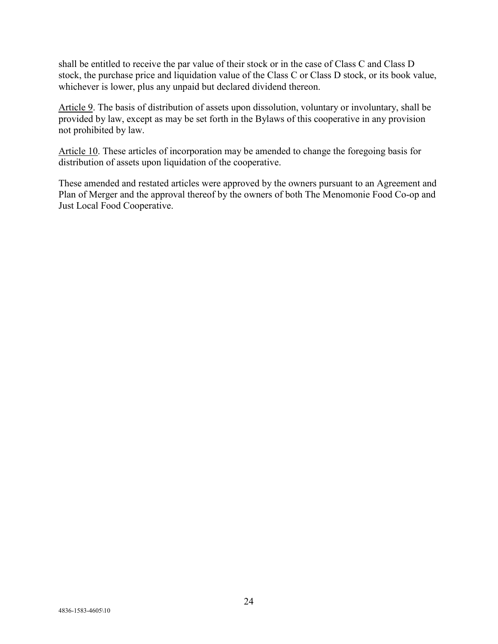shall be entitled to receive the par value of their stock or in the case of Class C and Class D stock, the purchase price and liquidation value of the Class C or Class D stock, or its book value, whichever is lower, plus any unpaid but declared dividend thereon.

Article 9. The basis of distribution of assets upon dissolution, voluntary or involuntary, shall be provided by law, except as may be set forth in the Bylaws of this cooperative in any provision not prohibited by law.

Article 10. These articles of incorporation may be amended to change the foregoing basis for distribution of assets upon liquidation of the cooperative.

These amended and restated articles were approved by the owners pursuant to an Agreement and Plan of Merger and the approval thereof by the owners of both The Menomonie Food Co-op and Just Local Food Cooperative.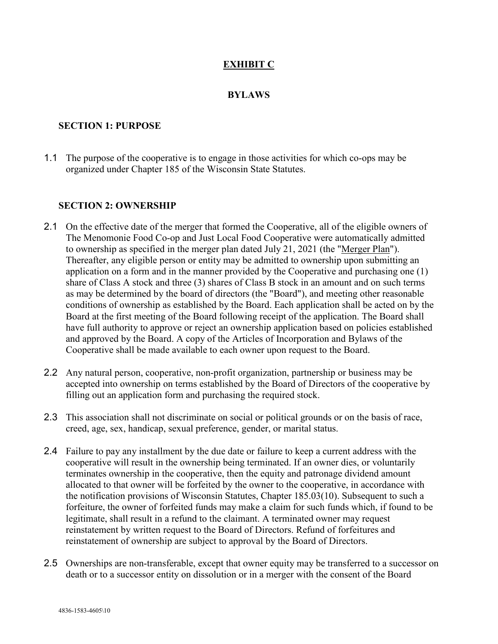## **EXHIBIT C**

#### **BYLAWS**

#### **SECTION 1: PURPOSE**

1.1 The purpose of the cooperative is to engage in those activities for which co-ops may be organized under Chapter 185 of the Wisconsin State Statutes.

#### **SECTION 2: OWNERSHIP**

- 2.1 On the effective date of the merger that formed the Cooperative, all of the eligible owners of The Menomonie Food Co-op and Just Local Food Cooperative were automatically admitted to ownership as specified in the merger plan dated July 21, 2021 (the "Merger Plan"). Thereafter, any eligible person or entity may be admitted to ownership upon submitting an application on a form and in the manner provided by the Cooperative and purchasing one (1) share of Class A stock and three (3) shares of Class B stock in an amount and on such terms as may be determined by the board of directors (the "Board"), and meeting other reasonable conditions of ownership as established by the Board. Each application shall be acted on by the Board at the first meeting of the Board following receipt of the application. The Board shall have full authority to approve or reject an ownership application based on policies established and approved by the Board. A copy of the Articles of Incorporation and Bylaws of the Cooperative shall be made available to each owner upon request to the Board.
- 2.2 Any natural person, cooperative, non-profit organization, partnership or business may be accepted into ownership on terms established by the Board of Directors of the cooperative by filling out an application form and purchasing the required stock.
- 2.3 This association shall not discriminate on social or political grounds or on the basis of race, creed, age, sex, handicap, sexual preference, gender, or marital status.
- 2.4 Failure to pay any installment by the due date or failure to keep a current address with the cooperative will result in the ownership being terminated. If an owner dies, or voluntarily terminates ownership in the cooperative, then the equity and patronage dividend amount allocated to that owner will be forfeited by the owner to the cooperative, in accordance with the notification provisions of Wisconsin Statutes, Chapter 185.03(10). Subsequent to such a forfeiture, the owner of forfeited funds may make a claim for such funds which, if found to be legitimate, shall result in a refund to the claimant. A terminated owner may request reinstatement by written request to the Board of Directors. Refund of forfeitures and reinstatement of ownership are subject to approval by the Board of Directors.
- 2.5 Ownerships are non-transferable, except that owner equity may be transferred to a successor on death or to a successor entity on dissolution or in a merger with the consent of the Board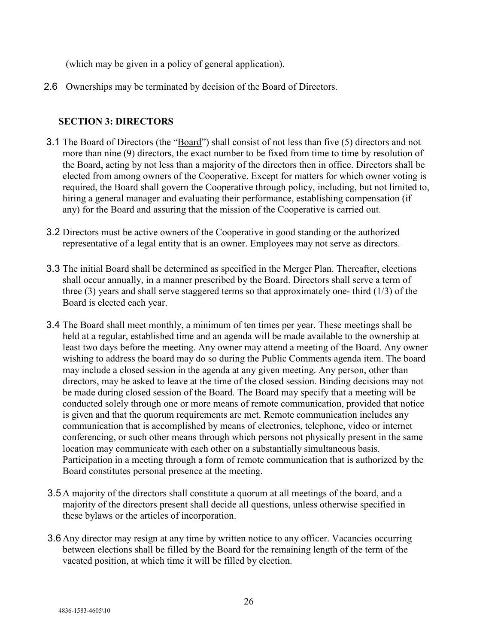(which may be given in a policy of general application).

2.6 Ownerships may be terminated by decision of the Board of Directors.

#### **SECTION 3: DIRECTORS**

- 3.1 The Board of Directors (the "Board") shall consist of not less than five (5) directors and not more than nine (9) directors, the exact number to be fixed from time to time by resolution of the Board, acting by not less than a majority of the directors then in office. Directors shall be elected from among owners of the Cooperative. Except for matters for which owner voting is required, the Board shall govern the Cooperative through policy, including, but not limited to, hiring a general manager and evaluating their performance, establishing compensation (if any) for the Board and assuring that the mission of the Cooperative is carried out.
- 3.2 Directors must be active owners of the Cooperative in good standing or the authorized representative of a legal entity that is an owner. Employees may not serve as directors.
- 3.3 The initial Board shall be determined as specified in the Merger Plan. Thereafter, elections shall occur annually, in a manner prescribed by the Board. Directors shall serve a term of three (3) years and shall serve staggered terms so that approximately one- third (1/3) of the Board is elected each year.
- 3.4 The Board shall meet monthly, a minimum of ten times per year. These meetings shall be held at a regular, established time and an agenda will be made available to the ownership at least two days before the meeting. Any owner may attend a meeting of the Board. Any owner wishing to address the board may do so during the Public Comments agenda item. The board may include a closed session in the agenda at any given meeting. Any person, other than directors, may be asked to leave at the time of the closed session. Binding decisions may not be made during closed session of the Board. The Board may specify that a meeting will be conducted solely through one or more means of remote communication, provided that notice is given and that the quorum requirements are met. Remote communication includes any communication that is accomplished by means of electronics, telephone, video or internet conferencing, or such other means through which persons not physically present in the same location may communicate with each other on a substantially simultaneous basis. Participation in a meeting through a form of remote communication that is authorized by the Board constitutes personal presence at the meeting.
- 3.5 A majority of the directors shall constitute a quorum at all meetings of the board, and a majority of the directors present shall decide all questions, unless otherwise specified in these bylaws or the articles of incorporation.
- 3.6 Any director may resign at any time by written notice to any officer. Vacancies occurring between elections shall be filled by the Board for the remaining length of the term of the vacated position, at which time it will be filled by election.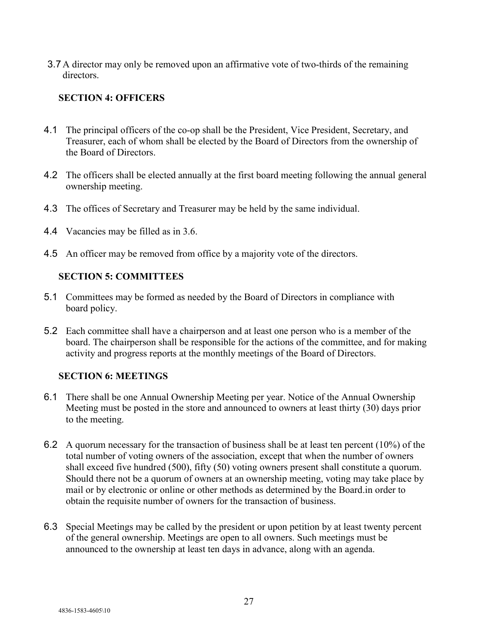3.7 A director may only be removed upon an affirmative vote of two-thirds of the remaining directors.

# **SECTION 4: OFFICERS**

- 4.1 The principal officers of the co-op shall be the President, Vice President, Secretary, and Treasurer, each of whom shall be elected by the Board of Directors from the ownership of the Board of Directors.
- 4.2 The officers shall be elected annually at the first board meeting following the annual general ownership meeting.
- 4.3 The offices of Secretary and Treasurer may be held by the same individual.
- 4.4 Vacancies may be filled as in 3.6.
- 4.5 An officer may be removed from office by a majority vote of the directors.

## **SECTION 5: COMMITTEES**

- 5.1 Committees may be formed as needed by the Board of Directors in compliance with board policy.
- 5.2 Each committee shall have a chairperson and at least one person who is a member of the board. The chairperson shall be responsible for the actions of the committee, and for making activity and progress reports at the monthly meetings of the Board of Directors.

## **SECTION 6: MEETINGS**

- 6.1 There shall be one Annual Ownership Meeting per year. Notice of the Annual Ownership Meeting must be posted in the store and announced to owners at least thirty (30) days prior to the meeting.
- 6.2 A quorum necessary for the transaction of business shall be at least ten percent (10%) of the total number of voting owners of the association, except that when the number of owners shall exceed five hundred (500), fifty (50) voting owners present shall constitute a quorum. Should there not be a quorum of owners at an ownership meeting, voting may take place by mail or by electronic or online or other methods as determined by the Board.in order to obtain the requisite number of owners for the transaction of business.
- 6.3 Special Meetings may be called by the president or upon petition by at least twenty percent of the general ownership. Meetings are open to all owners. Such meetings must be announced to the ownership at least ten days in advance, along with an agenda.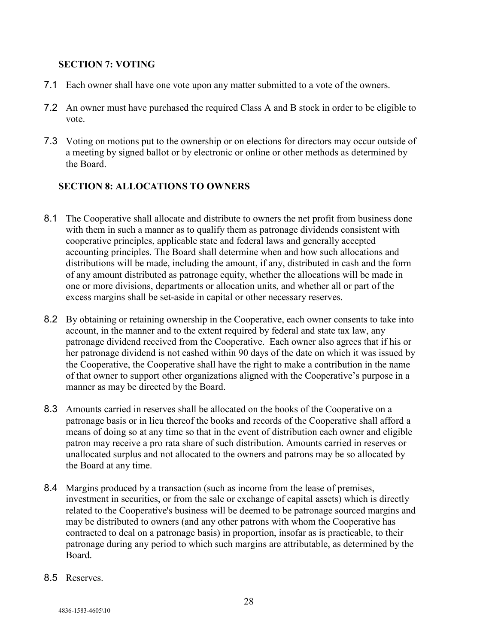#### **SECTION 7: VOTING**

- 7.1 Each owner shall have one vote upon any matter submitted to a vote of the owners.
- 7.2 An owner must have purchased the required Class A and B stock in order to be eligible to vote.
- 7.3 Voting on motions put to the ownership or on elections for directors may occur outside of a meeting by signed ballot or by electronic or online or other methods as determined by the Board.

## **SECTION 8: ALLOCATIONS TO OWNERS**

- 8.1 The Cooperative shall allocate and distribute to owners the net profit from business done with them in such a manner as to qualify them as patronage dividends consistent with cooperative principles, applicable state and federal laws and generally accepted accounting principles. The Board shall determine when and how such allocations and distributions will be made, including the amount, if any, distributed in cash and the form of any amount distributed as patronage equity, whether the allocations will be made in one or more divisions, departments or allocation units, and whether all or part of the excess margins shall be set-aside in capital or other necessary reserves.
- 8.2 By obtaining or retaining ownership in the Cooperative, each owner consents to take into account, in the manner and to the extent required by federal and state tax law, any patronage dividend received from the Cooperative. Each owner also agrees that if his or her patronage dividend is not cashed within 90 days of the date on which it was issued by the Cooperative, the Cooperative shall have the right to make a contribution in the name of that owner to support other organizations aligned with the Cooperative's purpose in a manner as may be directed by the Board.
- 8.3 Amounts carried in reserves shall be allocated on the books of the Cooperative on a patronage basis or in lieu thereof the books and records of the Cooperative shall afford a means of doing so at any time so that in the event of distribution each owner and eligible patron may receive a pro rata share of such distribution. Amounts carried in reserves or unallocated surplus and not allocated to the owners and patrons may be so allocated by the Board at any time.
- 8.4 Margins produced by a transaction (such as income from the lease of premises, investment in securities, or from the sale or exchange of capital assets) which is directly related to the Cooperative's business will be deemed to be patronage sourced margins and may be distributed to owners (and any other patrons with whom the Cooperative has contracted to deal on a patronage basis) in proportion, insofar as is practicable, to their patronage during any period to which such margins are attributable, as determined by the Board.
- 8.5 Reserves.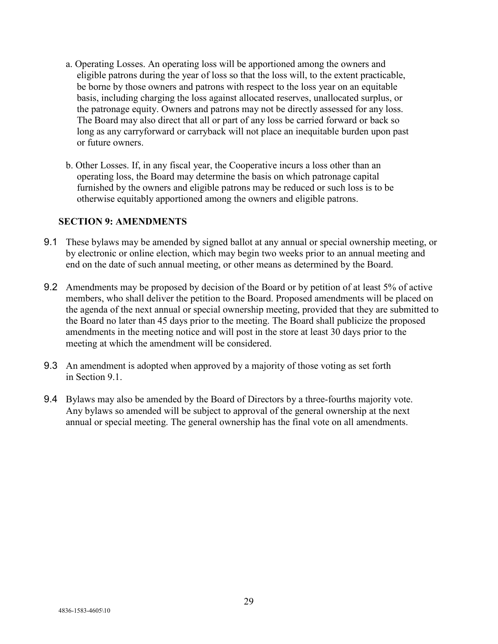- a. Operating Losses. An operating loss will be apportioned among the owners and eligible patrons during the year of loss so that the loss will, to the extent practicable, be borne by those owners and patrons with respect to the loss year on an equitable basis, including charging the loss against allocated reserves, unallocated surplus, or the patronage equity. Owners and patrons may not be directly assessed for any loss. The Board may also direct that all or part of any loss be carried forward or back so long as any carryforward or carryback will not place an inequitable burden upon past or future owners.
- b. Other Losses. If, in any fiscal year, the Cooperative incurs a loss other than an operating loss, the Board may determine the basis on which patronage capital furnished by the owners and eligible patrons may be reduced or such loss is to be otherwise equitably apportioned among the owners and eligible patrons.

#### **SECTION 9: AMENDMENTS**

- 9.1 These bylaws may be amended by signed ballot at any annual or special ownership meeting, or by electronic or online election, which may begin two weeks prior to an annual meeting and end on the date of such annual meeting, or other means as determined by the Board.
- 9.2 Amendments may be proposed by decision of the Board or by petition of at least 5% of active members, who shall deliver the petition to the Board. Proposed amendments will be placed on the agenda of the next annual or special ownership meeting, provided that they are submitted to the Board no later than 45 days prior to the meeting. The Board shall publicize the proposed amendments in the meeting notice and will post in the store at least 30 days prior to the meeting at which the amendment will be considered.
- 9.3 An amendment is adopted when approved by a majority of those voting as set forth in Section 9.1.
- 9.4 Bylaws may also be amended by the Board of Directors by a three-fourths majority vote. Any bylaws so amended will be subject to approval of the general ownership at the next annual or special meeting. The general ownership has the final vote on all amendments.